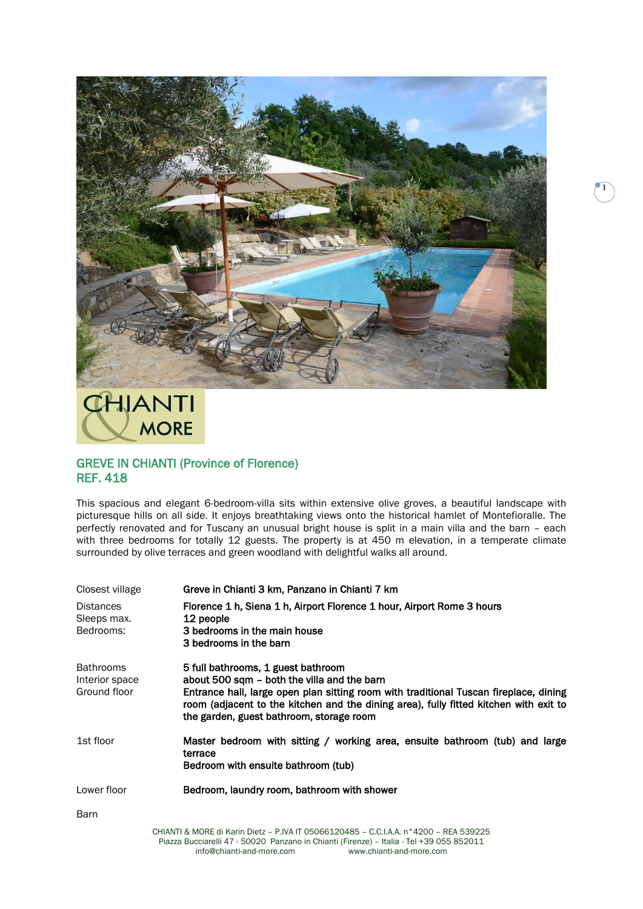

## CHIANTI **MORE**

## GREVE IN CHIANTI (Province of Florence) REF. 418

This spacious and elegant 6-bedroom-villa sits within extensive olive groves, a beautiful landscape with picturesque hills on all side. It enjoys breathtaking views onto the historical hamlet of Montefioralle. The perfectly renovated and for Tuscany an unusual bright house is split in a main villa and the barn – each with three bedrooms for totally 12 guests. The property is at 450 m elevation, in a temperate climate surrounded by olive terraces and green woodland with delightful walks all around.

| Closest village                                    | Greve in Chianti 3 km, Panzano in Chianti 7 km                                                                                                                                                                                                                                                                  |
|----------------------------------------------------|-----------------------------------------------------------------------------------------------------------------------------------------------------------------------------------------------------------------------------------------------------------------------------------------------------------------|
| <b>Distances</b><br>Sleeps max.<br>Bedrooms:       | Florence 1 h, Siena 1 h, Airport Florence 1 hour, Airport Rome 3 hours<br>12 people<br>3 bedrooms in the main house<br>3 bedrooms in the barn                                                                                                                                                                   |
| <b>Bathrooms</b><br>Interior space<br>Ground floor | 5 full bathrooms, 1 guest bathroom<br>about 500 sqm – both the villa and the barn<br>Entrance hall, large open plan sitting room with traditional Tuscan fireplace, dining<br>room (adjacent to the kitchen and the dining area), fully fitted kitchen with exit to<br>the garden, guest bathroom, storage room |
| 1st floor                                          | Master bedroom with sitting / working area, ensuite bathroom (tub) and large<br>terrace<br>Bedroom with ensuite bathroom (tub)                                                                                                                                                                                  |
| Lower floor                                        | Bedroom, laundry room, bathroom with shower                                                                                                                                                                                                                                                                     |
| <b>Barn</b>                                        |                                                                                                                                                                                                                                                                                                                 |
|                                                    | CHIANTI & MORE di Karin Dietz - P.IVA IT 05066120485 - C.C.I.A.A. n°4200 - REA 539225<br>Piazza Bucciarelli 47 - 50020 Panzano in Chianti (Firenze) - Italia - Tel +39 055 852011<br>www.chianti-and-more.com<br>info@chianti-and-more.com                                                                      |

 $\blacksquare$